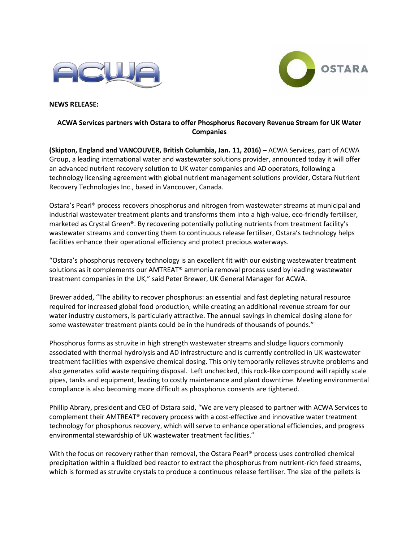



**NEWS RELEASE:** 

## **ACWA Services partners with Ostara to offer Phosphorus Recovery Revenue Stream for UK Water Companies**

**(Skipton, England and VANCOUVER, British Columbia, Jan. 11, 2016)** – ACWA Services, part of ACWA Group, a leading international water and wastewater solutions provider, announced today it will offer an advanced nutrient recovery solution to UK water companies and AD operators, following a technology licensing agreement with global nutrient management solutions provider, Ostara Nutrient Recovery Technologies Inc., based in Vancouver, Canada.

Ostara's Pearl® process recovers phosphorus and nitrogen from wastewater streams at municipal and industrial wastewater treatment plants and transforms them into a high-value, eco-friendly fertiliser, marketed as Crystal Green®. By recovering potentially polluting nutrients from treatment facility's wastewater streams and converting them to continuous release fertiliser, Ostara's technology helps facilities enhance their operational efficiency and protect precious waterways.

"Ostara's phosphorus recovery technology is an excellent fit with our existing wastewater treatment solutions as it complements our AMTREAT® ammonia removal process used by leading wastewater treatment companies in the UK," said Peter Brewer, UK General Manager for ACWA.

Brewer added, "The ability to recover phosphorus: an essential and fast depleting natural resource required for increased global food production, while creating an additional revenue stream for our water industry customers, is particularly attractive. The annual savings in chemical dosing alone for some wastewater treatment plants could be in the hundreds of thousands of pounds."

Phosphorus forms as struvite in high strength wastewater streams and sludge liquors commonly associated with thermal hydrolysis and AD infrastructure and is currently controlled in UK wastewater treatment facilities with expensive chemical dosing. This only temporarily relieves struvite problems and also generates solid waste requiring disposal. Left unchecked, this rock-like compound will rapidly scale pipes, tanks and equipment, leading to costly maintenance and plant downtime. Meeting environmental compliance is also becoming more difficult as phosphorus consents are tightened.

Phillip Abrary, president and CEO of Ostara said, "We are very pleased to partner with ACWA Services to complement their AMTREAT® recovery process with a cost-effective and innovative water treatment technology for phosphorus recovery, which will serve to enhance operational efficiencies, and progress environmental stewardship of UK wastewater treatment facilities."

With the focus on recovery rather than removal, the Ostara Pearl® process uses controlled chemical precipitation within a fluidized bed reactor to extract the phosphorus from nutrient-rich feed streams, which is formed as struvite crystals to produce a continuous release fertiliser. The size of the pellets is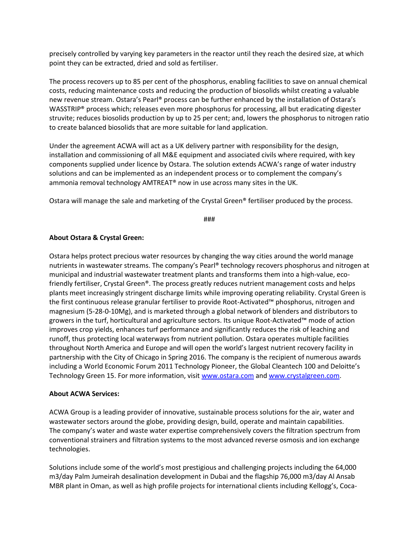precisely controlled by varying key parameters in the reactor until they reach the desired size, at which point they can be extracted, dried and sold as fertiliser.

The process recovers up to 85 per cent of the phosphorus, enabling facilities to save on annual chemical costs, reducing maintenance costs and reducing the production of biosolids whilst creating a valuable new revenue stream. Ostara's Pearl® process can be further enhanced by the installation of Ostara's WASSTRIP® process which; releases even more phosphorus for processing, all but eradicating digester struvite; reduces biosolids production by up to 25 per cent; and, lowers the phosphorus to nitrogen ratio to create balanced biosolids that are more suitable for land application.

Under the agreement ACWA will act as a UK delivery partner with responsibility for the design, installation and commissioning of all M&E equipment and associated civils where required, with key components supplied under licence by Ostara. The solution extends ACWA's range of water industry solutions and can be implemented as an independent process or to complement the company's ammonia removal technology AMTREAT® now in use across many sites in the UK.

Ostara will manage the sale and marketing of the Crystal Green® fertiliser produced by the process.

###

## **About Ostara & Crystal Green:**

Ostara helps protect precious water resources by changing the way cities around the world manage nutrients in wastewater streams. The company's Pearl® technology recovers phosphorus and nitrogen at municipal and industrial wastewater treatment plants and transforms them into a high-value, ecofriendly fertiliser, Crystal Green®. The process greatly reduces nutrient management costs and helps plants meet increasingly stringent discharge limits while improving operating reliability. Crystal Green is the first continuous release granular fertiliser to provide Root-Activated™ phosphorus, nitrogen and magnesium (5-28-0-10Mg), and is marketed through a global network of blenders and distributors to growers in the turf, horticultural and agriculture sectors. Its unique Root-Activated™ mode of action improves crop yields, enhances turf performance and significantly reduces the risk of leaching and runoff, thus protecting local waterways from nutrient pollution. Ostara operates multiple facilities throughout North America and Europe and will open the world's largest nutrient recovery facility in partnership with the City of Chicago in Spring 2016. The company is the recipient of numerous awards including a World Economic Forum 2011 Technology Pioneer, the Global Cleantech 100 and Deloitte's Technology Green 15. For more information, visi[t www.ostara.com](http://www.ostara.com/) and [www.crystalgreen.com.](http://www.crystalgreen.com/)

## **About ACWA Services:**

ACWA Group is a leading provider of innovative, sustainable process solutions for the air, water and wastewater sectors around the globe, providing design, build, operate and maintain capabilities. The company's water and waste water expertise comprehensively covers the filtration spectrum from conventional strainers and filtration systems to the most advanced reverse osmosis and ion exchange technologies.

Solutions include some of the world's most prestigious and challenging projects including the 64,000 m3/day Palm Jumeirah desalination development in Dubai and the flagship 76,000 m3/day Al Ansab MBR plant in Oman, as well as high profile projects for international clients including Kellogg's, Coca